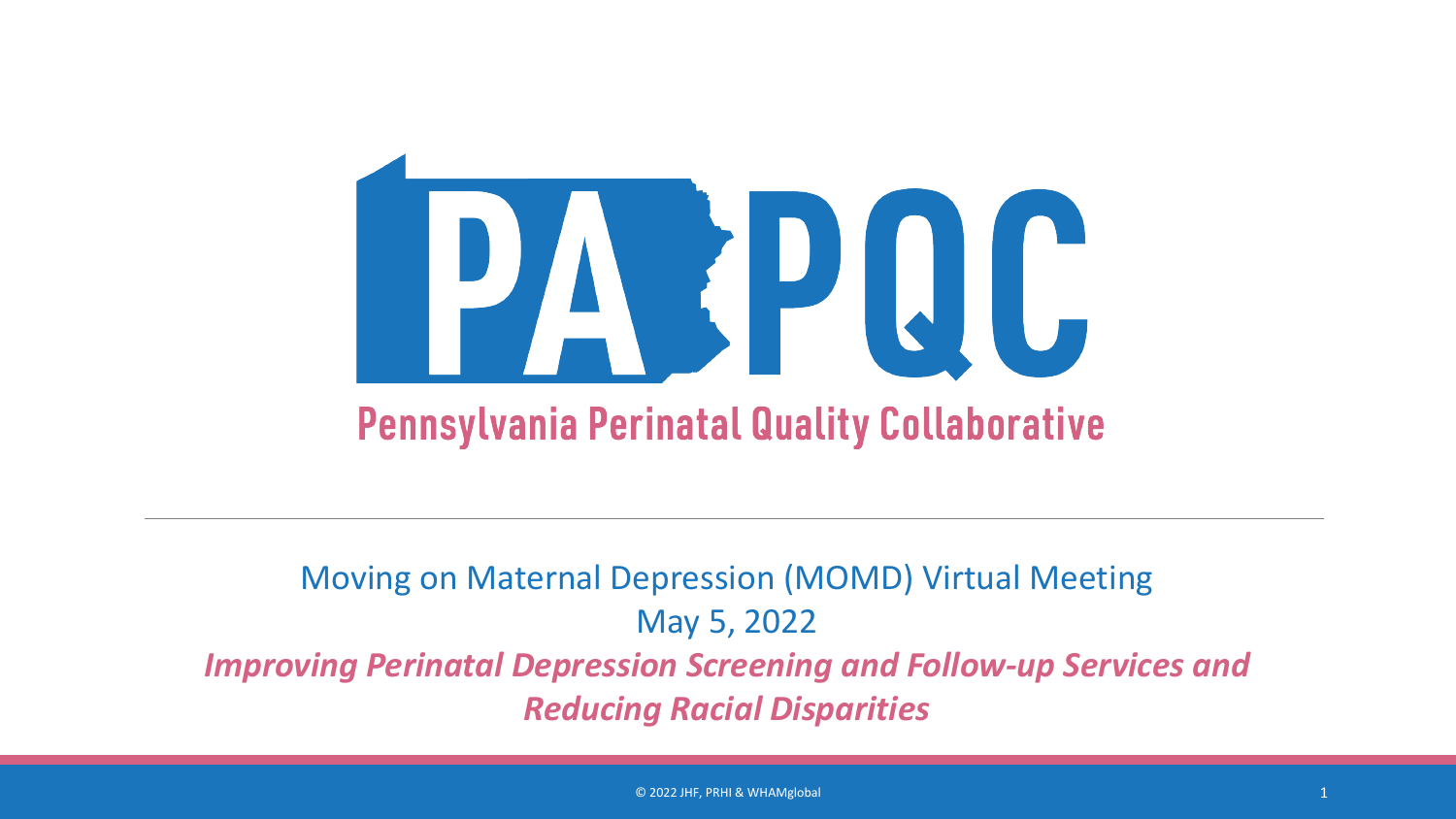

#### Moving on Maternal Depression (MOMD) Virtual Meeting May 5, 2022 *Improving Perinatal Depression Screening and Follow-up Services and Reducing Racial Disparities*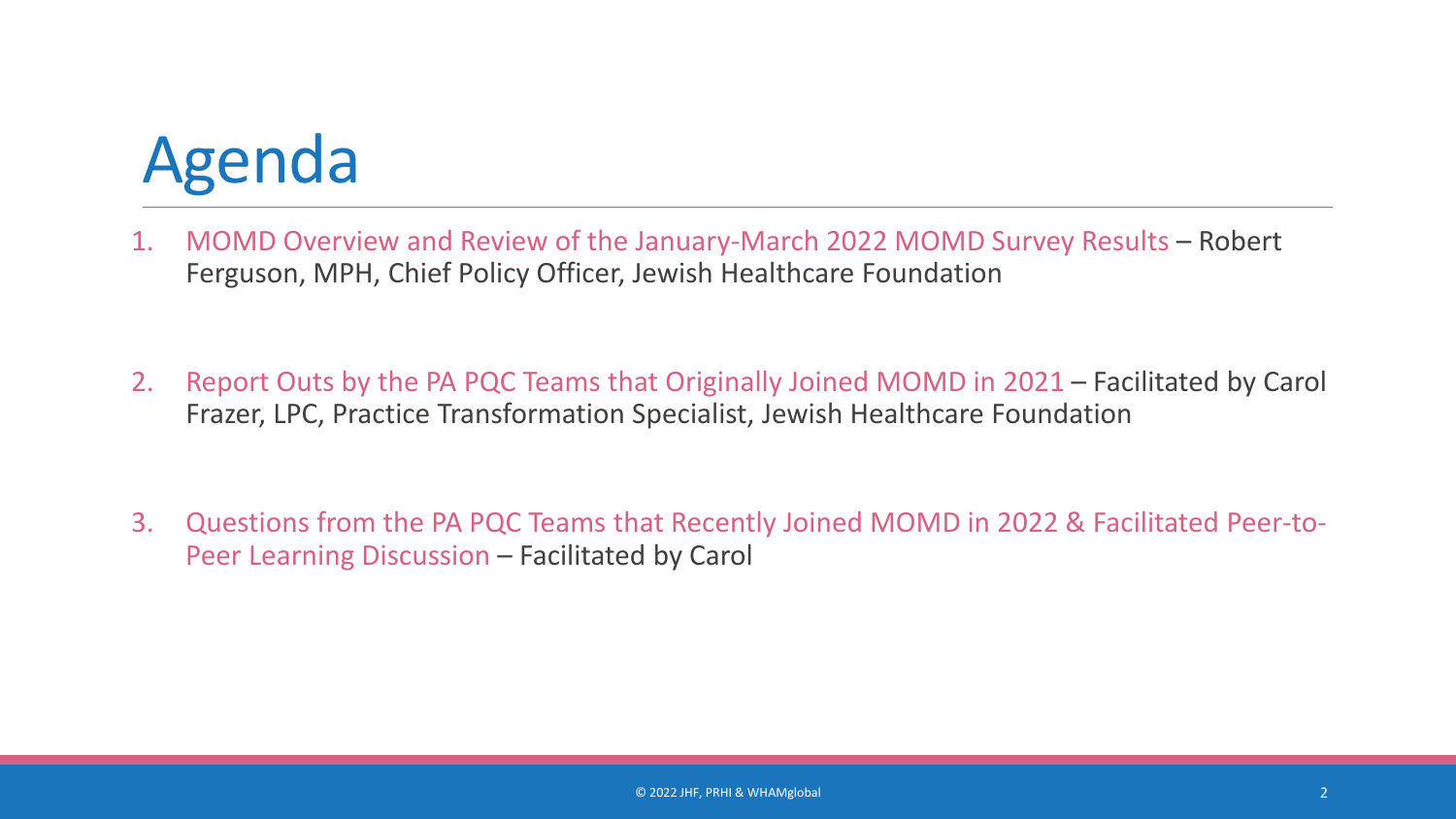### Agenda

- 1. MOMD Overview and Review of the January-March 2022 MOMD Survey Results Robert Ferguson, MPH, Chief Policy Officer, Jewish Healthcare Foundation
- 2. Report Outs by the PA PQC Teams that Originally Joined MOMD in 2021 Facilitated by Carol Frazer, LPC, Practice Transformation Specialist, Jewish Healthcare Foundation
- 3. Questions from the PA PQC Teams that Recently Joined MOMD in 2022 & Facilitated Peer-to-Peer Learning Discussion – Facilitated by Carol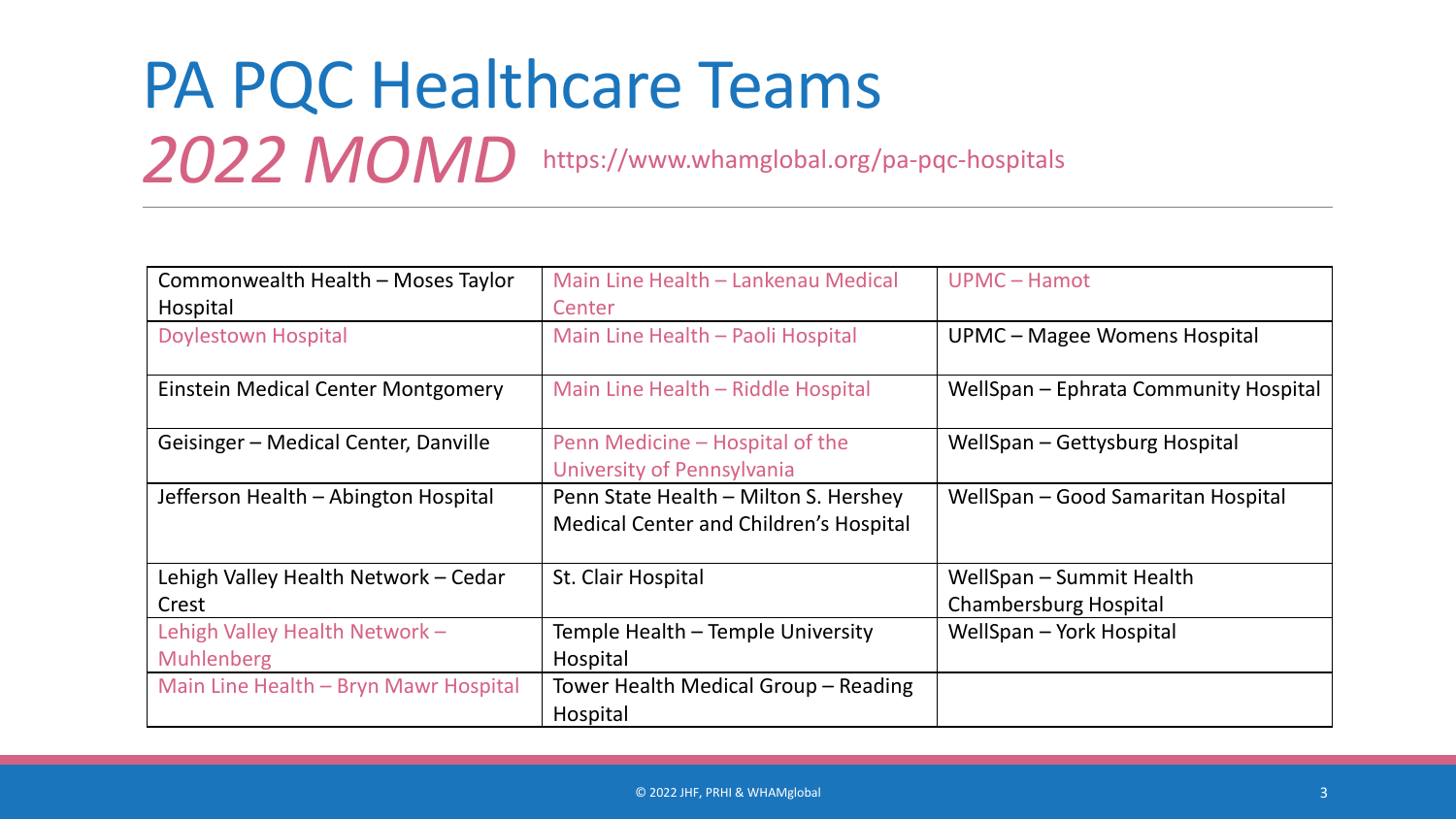## PA PQC Healthcare Teams

*2022 MOMD* https://www.whamglobal.org/pa-pqc-hospitals

| Commonwealth Health - Moses Taylor    | Main Line Health - Lankenau Medical                                             | UPMC - Hamot                          |
|---------------------------------------|---------------------------------------------------------------------------------|---------------------------------------|
| Hospital                              | Center                                                                          |                                       |
| <b>Doylestown Hospital</b>            | Main Line Health - Paoli Hospital                                               | <b>UPMC - Magee Womens Hospital</b>   |
| Einstein Medical Center Montgomery    | Main Line Health - Riddle Hospital                                              | WellSpan – Ephrata Community Hospital |
| Geisinger – Medical Center, Danville  | Penn Medicine – Hospital of the<br>University of Pennsylvania                   | WellSpan – Gettysburg Hospital        |
| Jefferson Health - Abington Hospital  | Penn State Health - Milton S. Hershey<br>Medical Center and Children's Hospital | WellSpan - Good Samaritan Hospital    |
| Lehigh Valley Health Network - Cedar  | St. Clair Hospital                                                              | WellSpan – Summit Health              |
| Crest                                 |                                                                                 | <b>Chambersburg Hospital</b>          |
| Lehigh Valley Health Network -        | Temple Health - Temple University                                               | WellSpan - York Hospital              |
| <b>Muhlenberg</b>                     | Hospital                                                                        |                                       |
| Main Line Health - Bryn Mawr Hospital | Tower Health Medical Group - Reading                                            |                                       |
|                                       | Hospital                                                                        |                                       |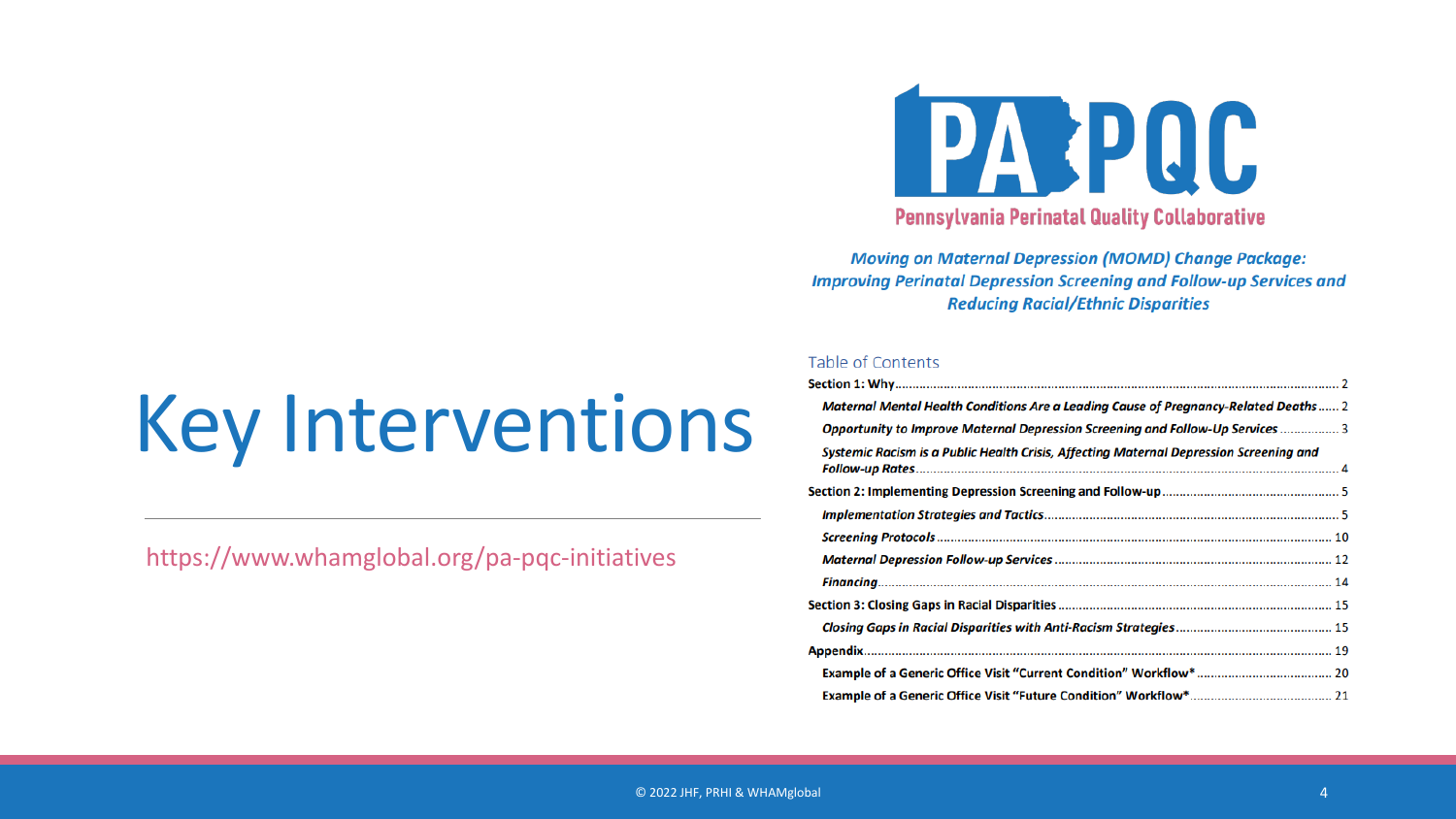# Key Interventions

https://www.whamglobal.org/pa-pqc-initiatives



**Pennsylvania Perinatal Quality Collaborative** 

**Moving on Maternal Depression (MOMD) Change Package: Improving Perinatal Depression Screening and Follow-up Services and Reducing Racial/Ethnic Disparities** 

#### Table of Contents

| <b>Maternal Mental Health Conditions Are a Leading Cause of Pregnancy-Related Deaths 2</b> |  |
|--------------------------------------------------------------------------------------------|--|
| Opportunity to Improve Maternal Depression Screening and Follow-Up Services  3             |  |
| Systemic Racism is a Public Health Crisis, Affecting Maternal Depression Screening and     |  |
|                                                                                            |  |
|                                                                                            |  |
|                                                                                            |  |
|                                                                                            |  |
|                                                                                            |  |
|                                                                                            |  |
|                                                                                            |  |
|                                                                                            |  |
|                                                                                            |  |
|                                                                                            |  |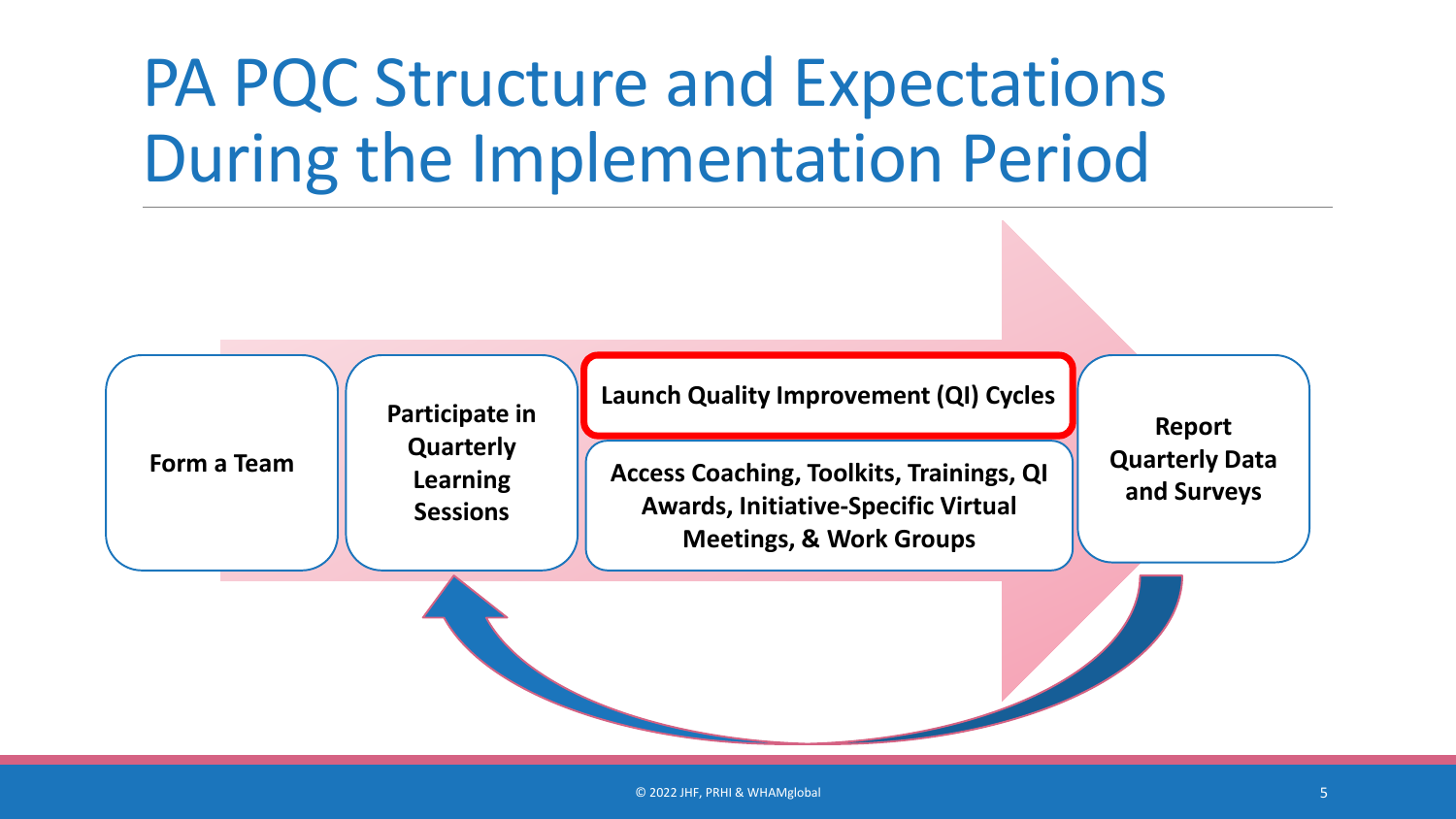### PA PQC Structure and Expectations During the Implementation Period

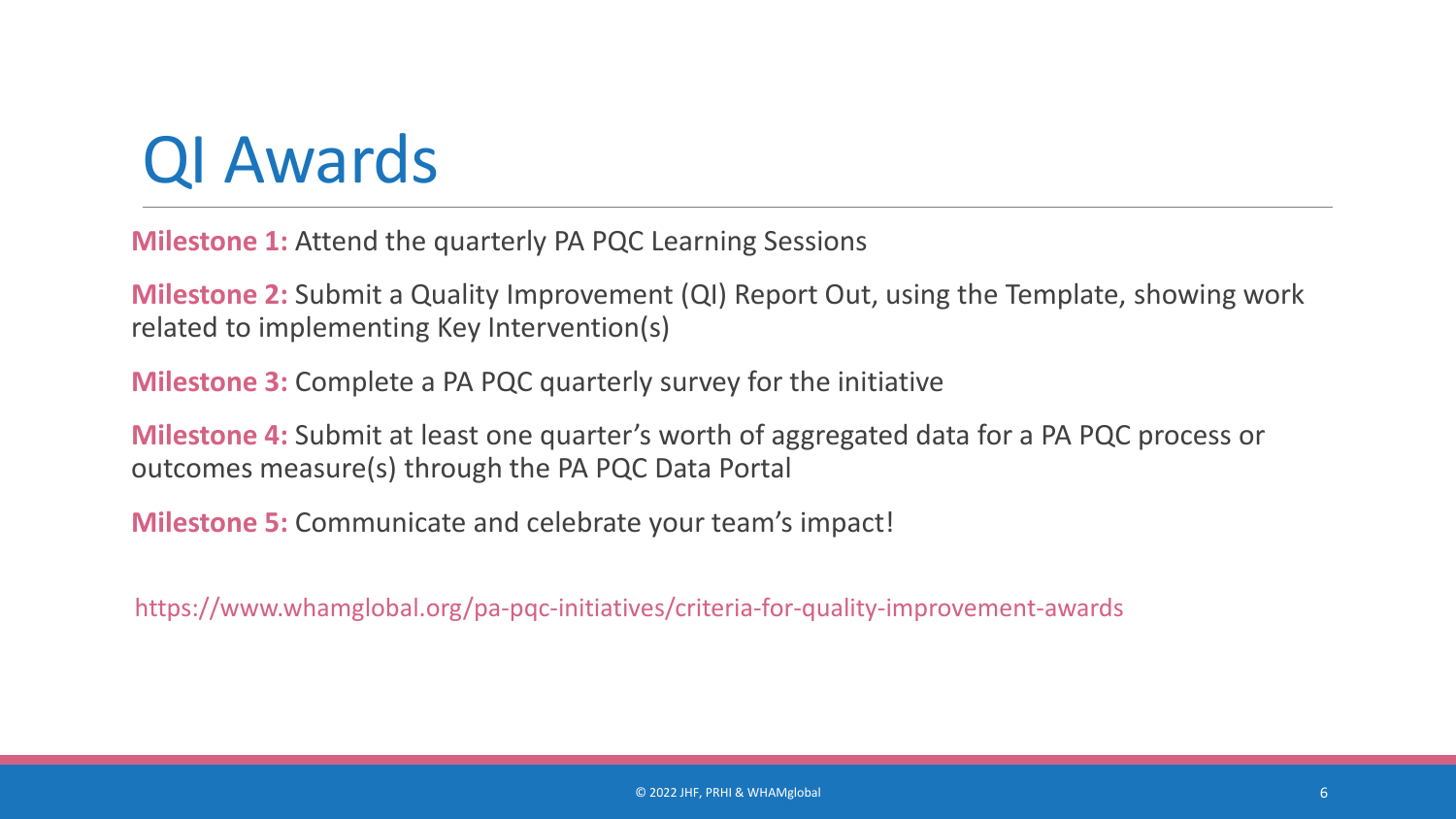#### QI Awards

**Milestone 1:** Attend the quarterly PA PQC Learning Sessions

**Milestone 2:** Submit a Quality Improvement (QI) Report Out, using the Template, showing work related to implementing Key Intervention(s)

**Milestone 3:** Complete a PA PQC quarterly survey for the initiative

**Milestone 4:** Submit at least one quarter's worth of aggregated data for a PA PQC process or outcomes measure(s) through the PA PQC Data Portal

**Milestone 5:** Communicate and celebrate your team's impact!

https://www.whamglobal.org/pa-pqc-initiatives/criteria-for-quality-improvement-awards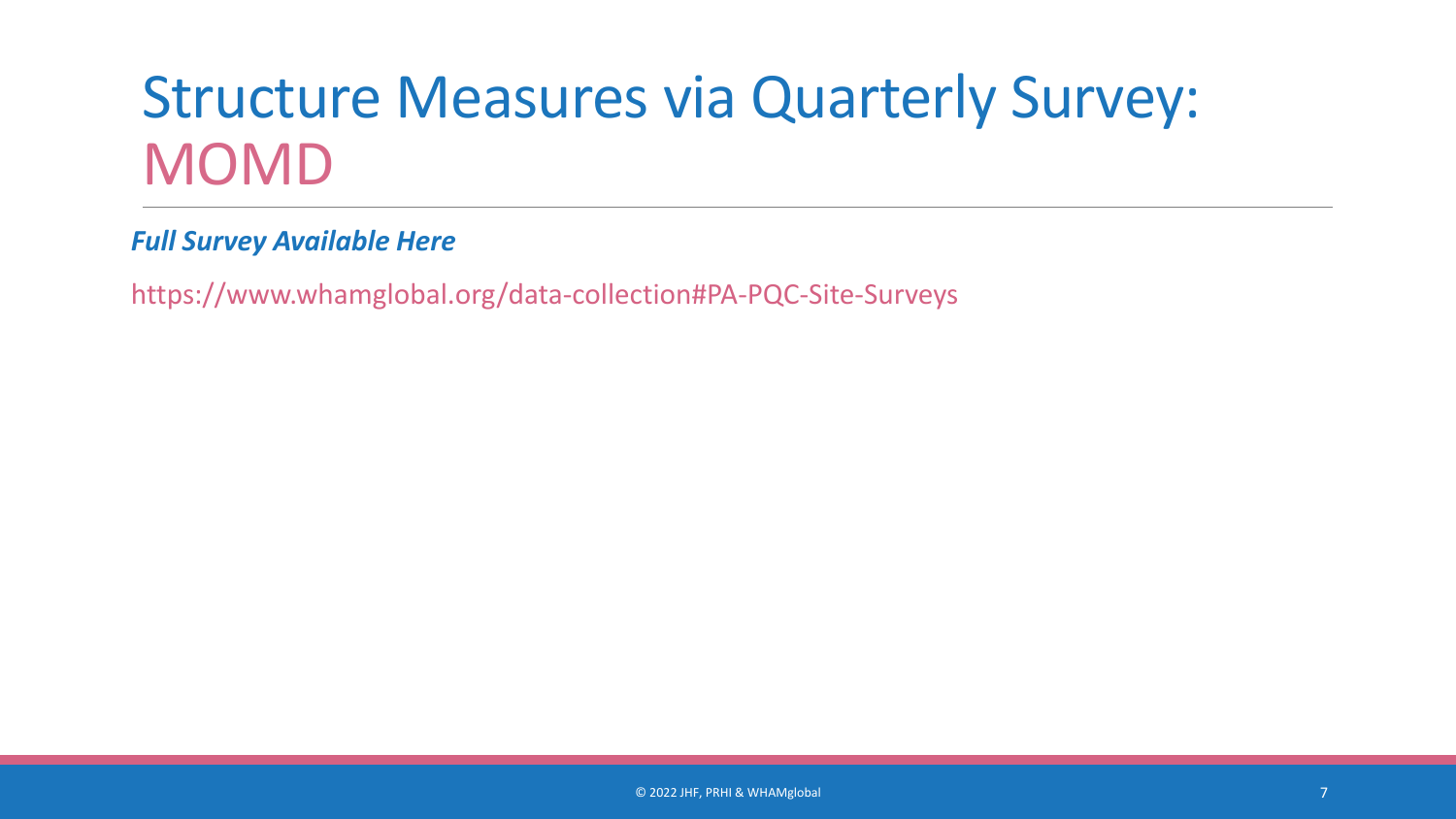#### Structure Measures via Quarterly Survey: MOMD

*Full Survey Available Here*

https://www.whamglobal.org/data-collection#PA-PQC-Site-Surveys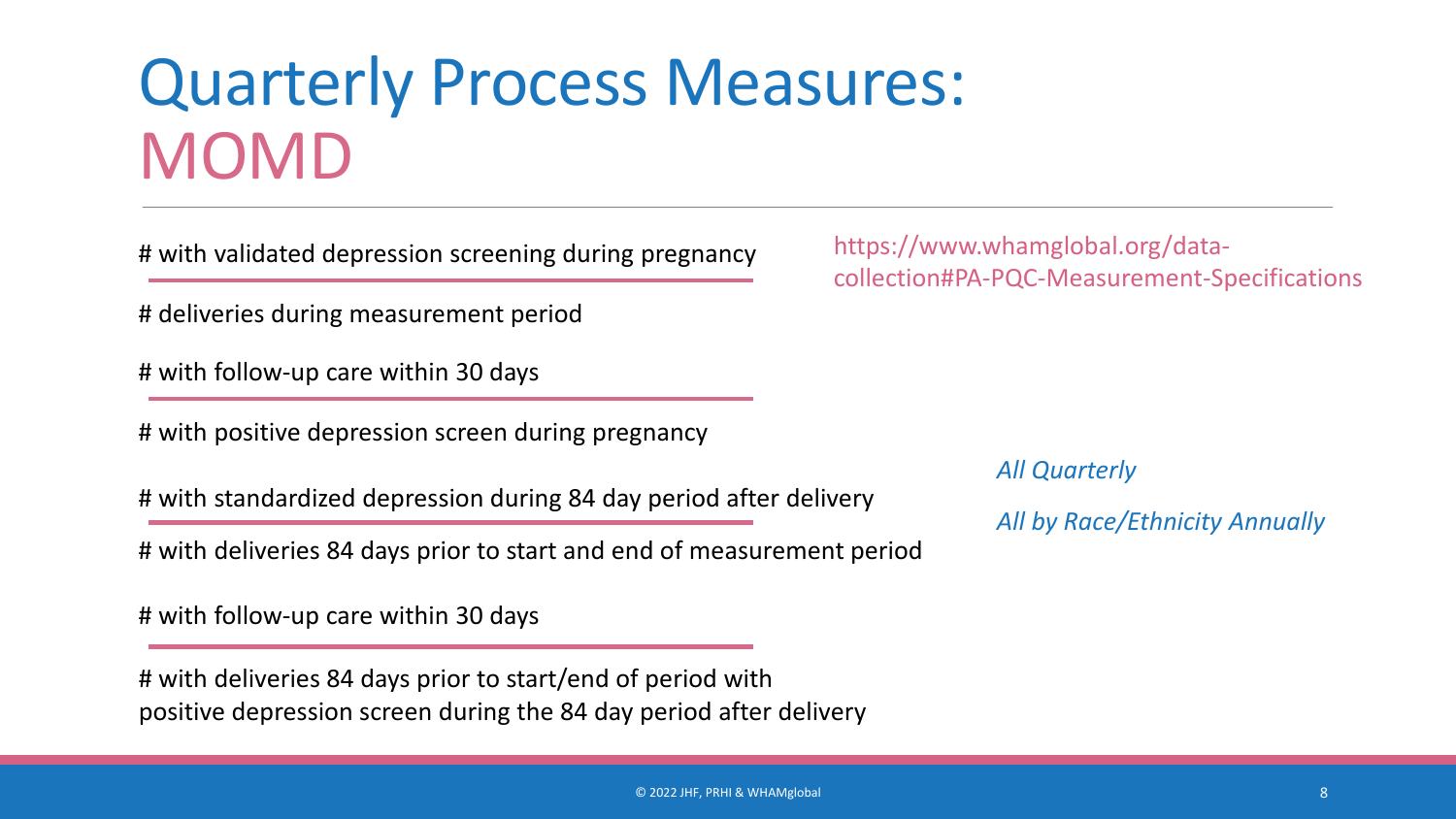#### Quarterly Process Measures: MOMD

# with validated depression screening during pregnancy

# deliveries during measurement period

# with follow-up care within 30 days

# with positive depression screen during pregnancy

# with standardized depression during 84 day period after delivery

# with deliveries 84 days prior to start and end of measurement period

# with follow-up care within 30 days

# with deliveries 84 days prior to start/end of period with positive depression screen during the 84 day period after delivery

https://www.whamglobal.org/datacollection#PA-PQC-Measurement-Specifications

*All Quarterly*

*All by Race/Ethnicity Annually*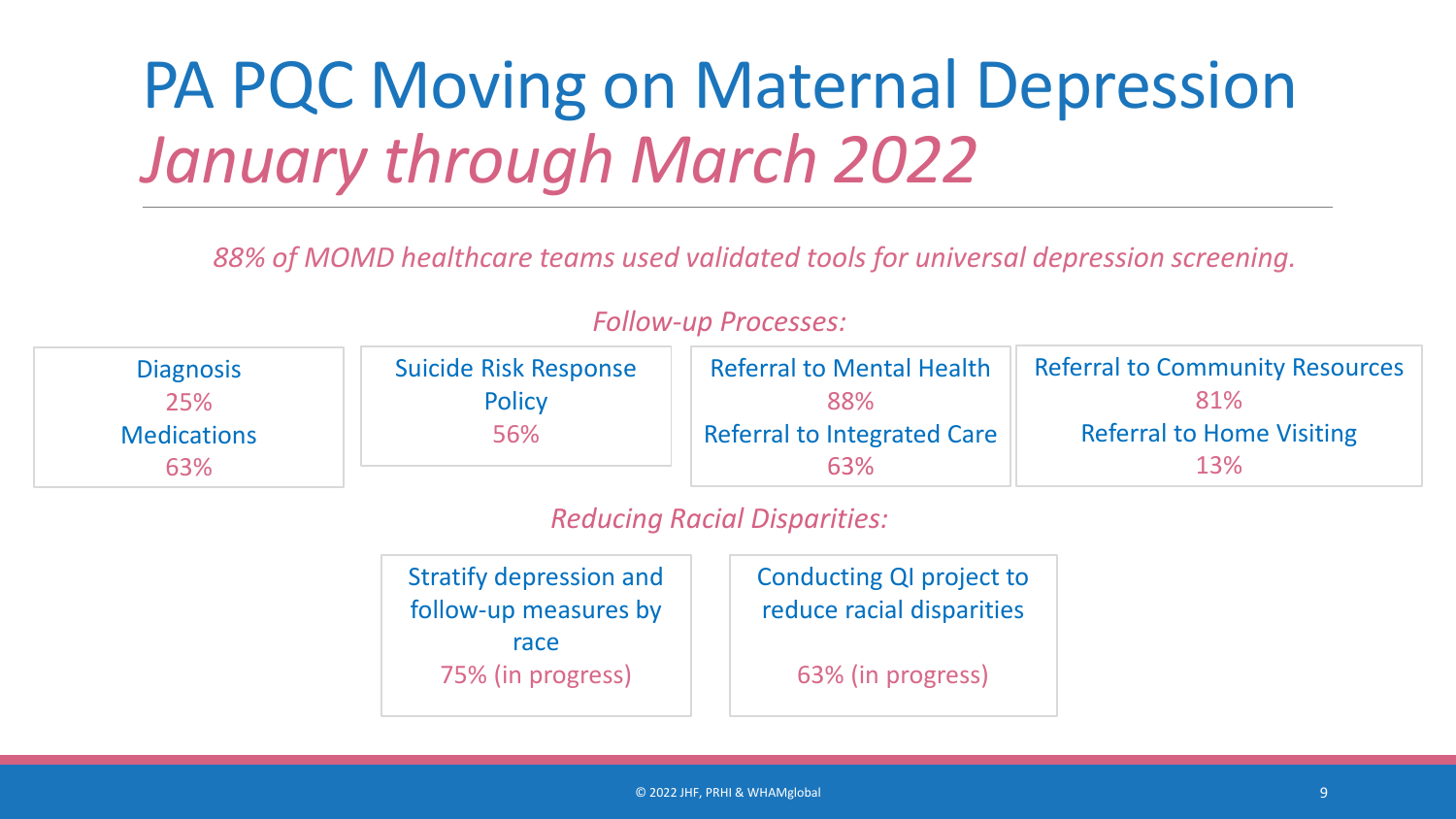#### PA PQC Moving on Maternal Depression *January through March 2022*

*88% of MOMD healthcare teams used validated tools for universal depression screening.*

| <b>Diagnosis</b>   | Suicide Risk Response | <b>Referral to Mental Health</b>   | <b>Referral to Community Resources</b> |
|--------------------|-----------------------|------------------------------------|----------------------------------------|
| 25%                | <b>Policy</b>         | 88%                                | 81%                                    |
| <b>Medications</b> | 56%                   | <b>Referral to Integrated Care</b> | <b>Referral to Home Visiting</b>       |
| 63%                |                       | 63%                                | 13%                                    |

#### *Follow-up Processes:*

*Reducing Racial Disparities:*

| <b>Stratify depression and</b> |  | Conducting QI project to  |  |
|--------------------------------|--|---------------------------|--|
| follow-up measures by          |  | reduce racial disparities |  |
| race<br>75% (in progress)      |  | 63% (in progress)         |  |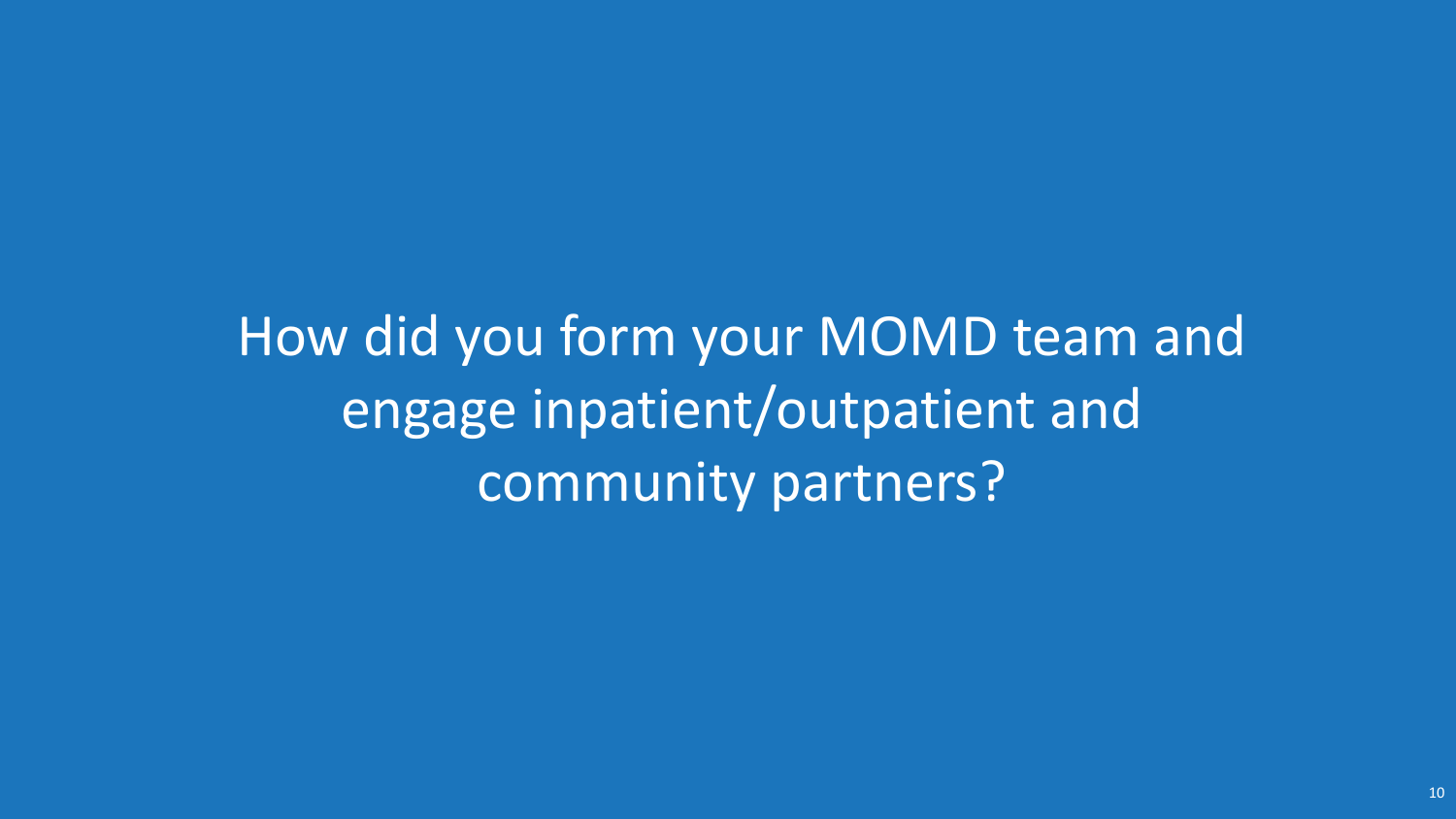How did you form your MOMD team and engage inpatient/outpatient and community partners?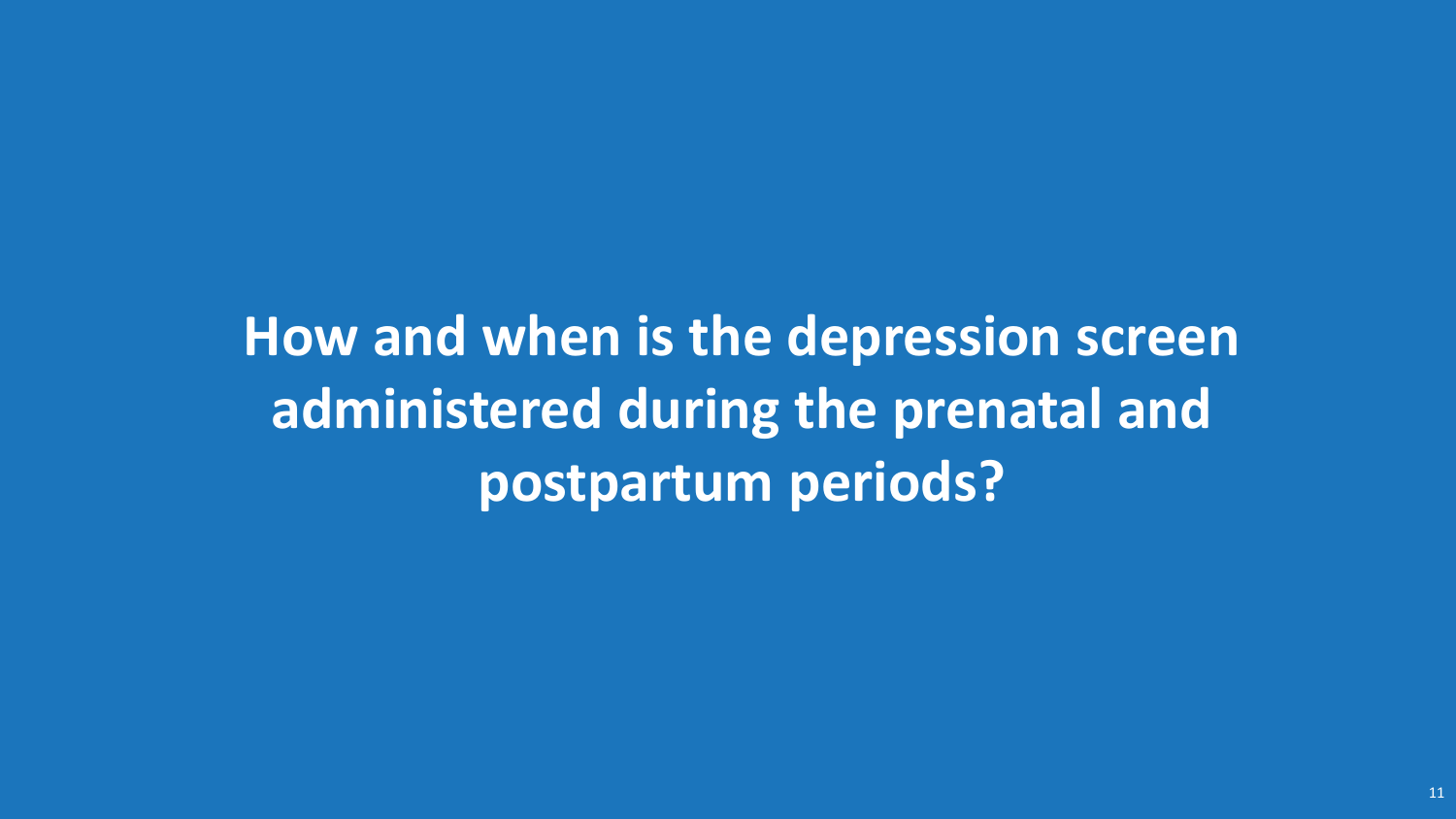**How and when is the depression screen administered during the prenatal and postpartum periods?**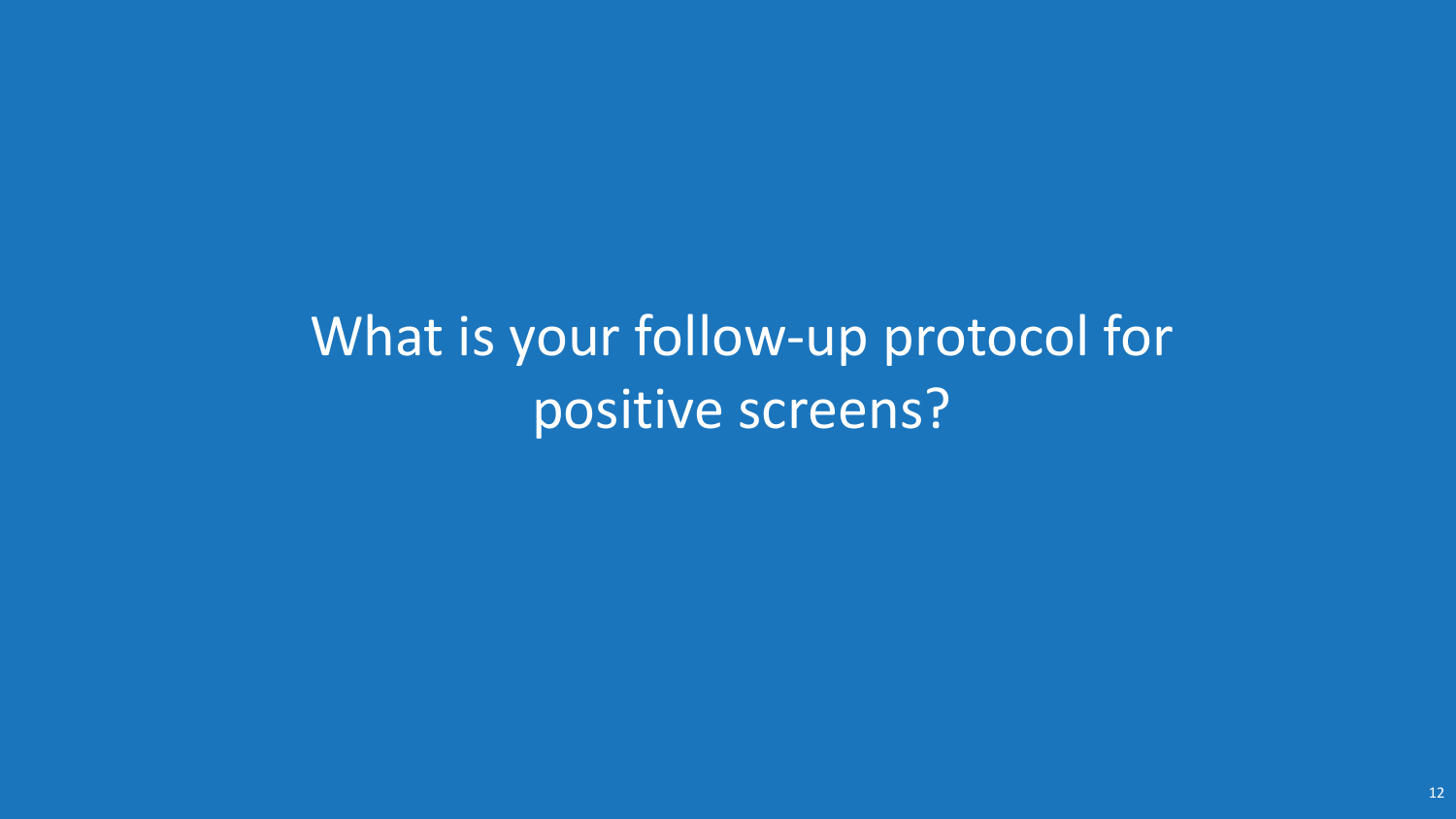What is your follow-up protocol for positive screens?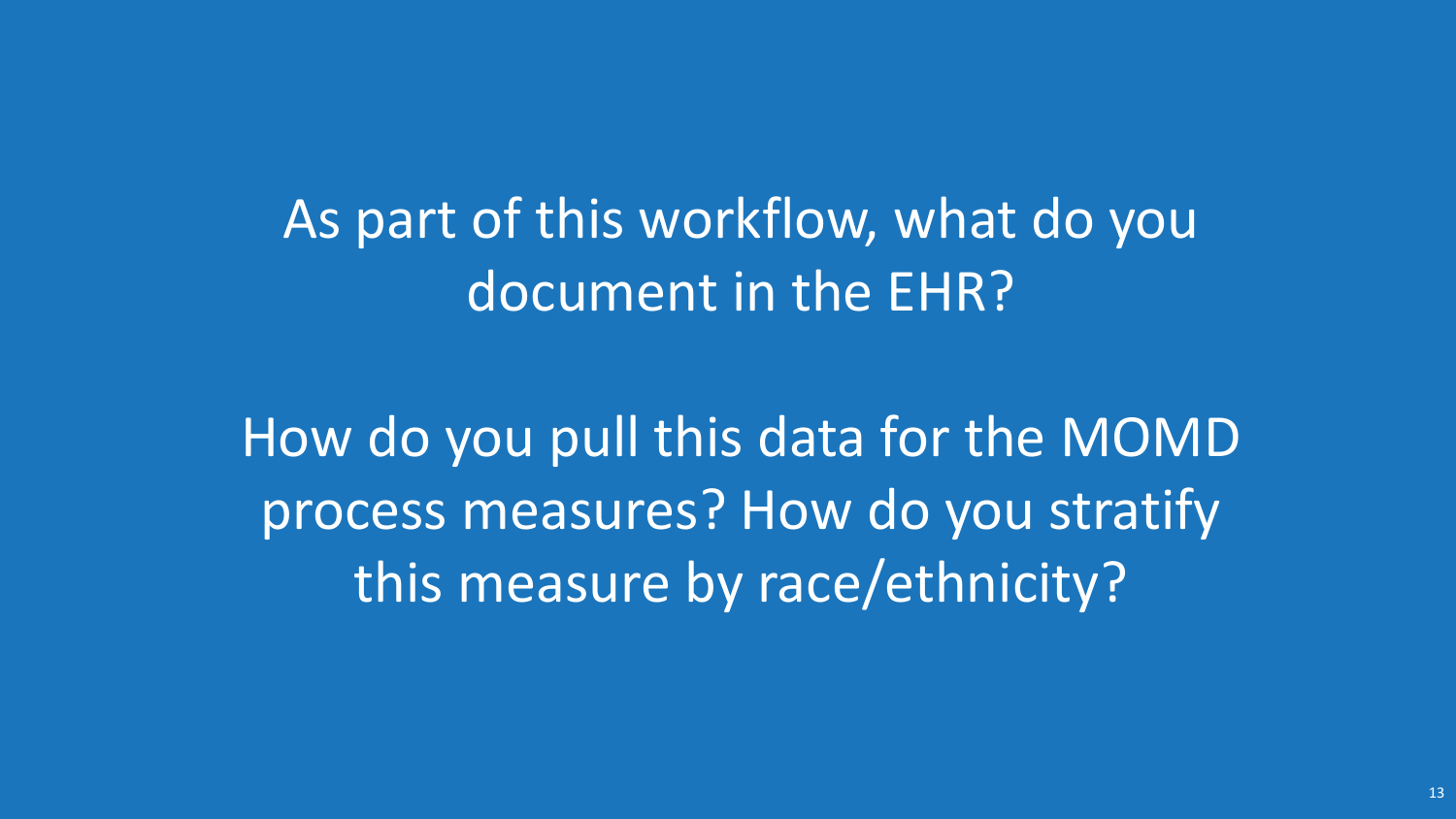As part of this workflow, what do you document in the EHR?

How do you pull this data for the MOMD process measures? How do you stratify this measure by race/ethnicity?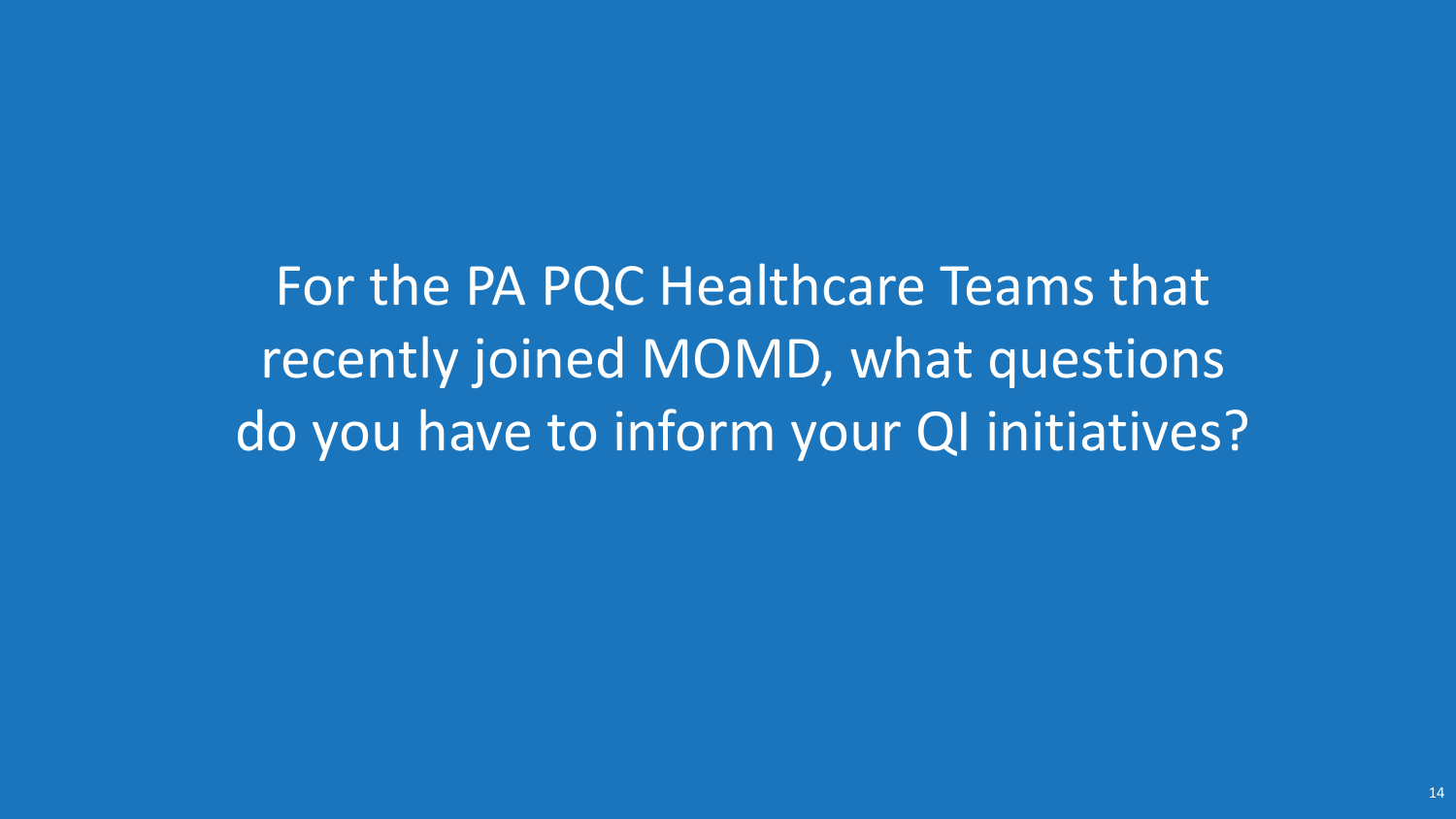For the PA PQC Healthcare Teams that recently joined MOMD, what questions do you have to inform your QI initiatives?